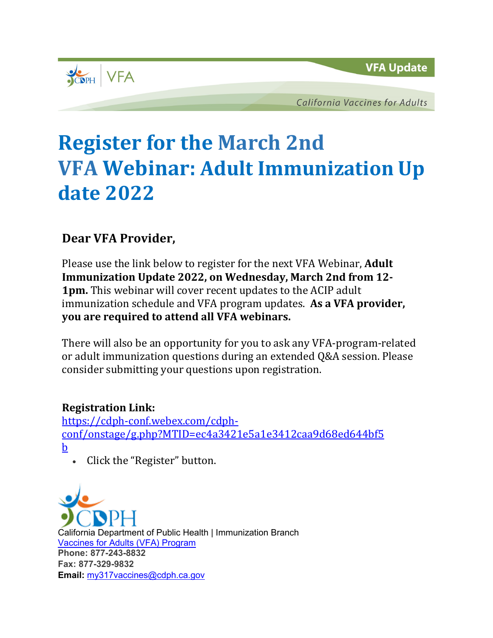

**California Vaccines for Adults** 

## **Register for the March 2nd VFA Webinar: Adult Immunization Up date 2022**

## **Dear VFA Provider,**

Please use the link below to register for the next VFA Webinar, **Adult Immunization Update 2022, on Wednesday, March 2nd from 12- 1pm.** This webinar will cover recent updates to the ACIP adult immunization schedule and VFA program updates. **As a VFA provider, you are required to attend all VFA webinars.**

There will also be an opportunity for you to ask any VFA-program-related or adult immunization questions during an extended Q&A session. Please consider submitting your questions upon registration.

## **Registration Link:**

[https://cdph-conf.webex.com/cdph](https://cdph-conf.webex.com/cdph-conf/onstage/g.php?MTID=ec4a3421e5a1e3412caa9d68ed644bf5b)[conf/onstage/g.php?MTID=ec4a3421e5a1e3412caa9d68ed644bf5](https://cdph-conf.webex.com/cdph-conf/onstage/g.php?MTID=ec4a3421e5a1e3412caa9d68ed644bf5b) [b](https://cdph-conf.webex.com/cdph-conf/onstage/g.php?MTID=ec4a3421e5a1e3412caa9d68ed644bf5b)

• Click the "Register" button.